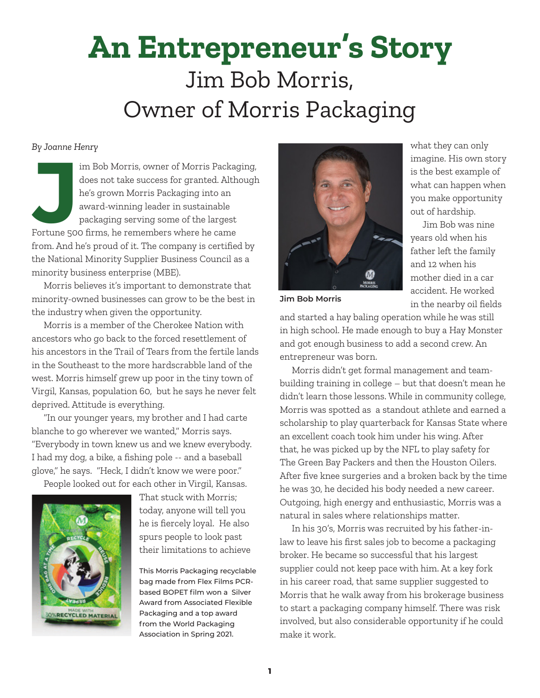# **An Entrepreneur's Story**  Jim Bob Morris, Owner of Morris Packaging

#### *By Joanne Henry*

Im Bob Morris, owner of Morris Packag<br>
does not take success for granted. Alth<br>
he's grown Morris Packaging into an<br>
award-winning leader in sustainable<br>
packaging serving some of the largest<br>
Fortune 500 firms, he remembe im Bob Morris, owner of Morris Packaging, does not take success for granted. Although he's grown Morris Packaging into an award-winning leader in sustainable packaging serving some of the largest from. And he's proud of it. The company is certified by the National Minority Supplier Business Council as a minority business enterprise (MBE).

Morris believes it's important to demonstrate that minority-owned businesses can grow to be the best in the industry when given the opportunity.

Morris is a member of the Cherokee Nation with ancestors who go back to the forced resettlement of his ancestors in the Trail of Tears from the fertile lands in the Southeast to the more hardscrabble land of the west. Morris himself grew up poor in the tiny town of Virgil, Kansas, population 60, but he says he never felt deprived. Attitude is everything.

"In our younger years, my brother and I had carte blanche to go wherever we wanted," Morris says. "Everybody in town knew us and we knew everybody. I had my dog, a bike, a fishing pole -- and a baseball glove," he says. "Heck, I didn't know we were poor."

People looked out for each other in Virgil, Kansas.



That stuck with Morris; today, anyone will tell you he is fiercely loyal. He also spurs people to look past their limitations to achieve

This Morris Packaging recyclable bag made from Flex Films PCRbased BOPET film won a Silver Award from Associated Flexible Packaging and a top award from the World Packaging Association in Spring 2021.



what they can only imagine. His own story is the best example of what can happen when you make opportunity out of hardship.

Jim Bob was nine years old when his father left the family and 12 when his mother died in a car accident. He worked in the nearby oil fields

**Jim Bob Morris**

and started a hay baling operation while he was still in high school. He made enough to buy a Hay Monster and got enough business to add a second crew. An entrepreneur was born.

Morris didn't get formal management and teambuilding training in college – but that doesn't mean he didn't learn those lessons. While in community college, Morris was spotted as a standout athlete and earned a scholarship to play quarterback for Kansas State where an excellent coach took him under his wing. After that, he was picked up by the NFL to play safety for The Green Bay Packers and then the Houston Oilers. After five knee surgeries and a broken back by the time he was 30, he decided his body needed a new career. Outgoing, high energy and enthusiastic, Morris was a natural in sales where relationships matter.

In his 30's, Morris was recruited by his father-inlaw to leave his first sales job to become a packaging broker. He became so successful that his largest supplier could not keep pace with him. At a key fork in his career road, that same supplier suggested to Morris that he walk away from his brokerage business to start a packaging company himself. There was risk involved, but also considerable opportunity if he could make it work.